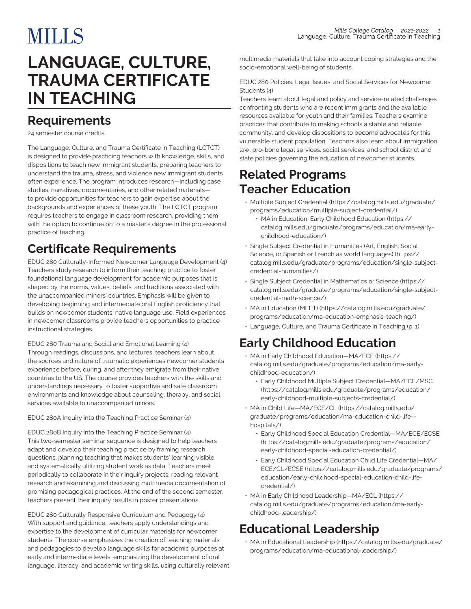# **MILLS**

# **LANGUAGE, CULTURE, TRAUMA CERTIFICATE IN TEACHING**

#### <span id="page-0-0"></span>**Requirements**

24 semester course credits

The Language, Culture, and Trauma Certificate in Teaching (LCTCT) is designed to provide practicing teachers with knowledge, skills, and dispositions to teach new immigrant students, preparing teachers to understand the trauma, stress, and violence new immigrant students often experience. The program introduces research—including case studies, narratives, documentaries, and other related materials to provide opportunities for teachers to gain expertise about the backgrounds and experiences of these youth. The LCTCT program requires teachers to engage in classroom research, providing them with the option to continue on to a master's degree in the professional practice of teaching.

### **Certificate Requirements**

EDUC 280 Culturally-Informed Newcomer Language Development (4) Teachers study research to inform their teaching practice to foster foundational language development for academic purposes that is shaped by the norms, values, beliefs, and traditions associated with the unaccompanied minors' countries. Emphasis will be given to developing beginning and intermediate oral English proficiency that builds on newcomer students' native language use. Field experiences in newcomer classrooms provide teachers opportunities to practice instructional strategies.

EDUC 280 Trauma and Social and Emotional Learning (4) Through readings, discussions, and lectures, teachers learn about the sources and nature of traumatic experiences newcomer students experience before, during, and after they emigrate from their native countries to the US. The course provides teachers with the skills and understandings necessary to foster supportive and safe classroom environments and knowledge about counseling, therapy, and social services available to unaccompanied minors.

EDUC 280A Inquiry into the Teaching Practice Seminar (4)

EDUC 280B Inquiry into the Teaching Practice Seminar (4) This two-semester seminar sequence is designed to help teachers adapt and develop their teaching practice by framing research questions, planning teaching that makes students' learning visible, and systematically utilizing student work as data. Teachers meet periodically to collaborate in their inquiry projects, reading relevant research and examining and discussing multimedia documentation of promising pedagogical practices. At the end of the second semester, teachers present their inquiry results in poster presentations.

EDUC 280 Culturally Responsive Curriculum and Pedagogy (4) With support and guidance, teachers apply understandings and expertise to the development of curricular materials for newcomer students. The course emphasizes the creation of teaching materials and pedagogies to develop language skills for academic purposes at early and intermediate levels, emphasizing the development of oral language, literacy, and academic writing skills, using culturally relevant

multimedia materials that take into account coping strategies and the socio-emotional well-being of students.

EDUC 280 Policies, Legal Issues, and Social Services for Newcomer Students (4)

Teachers learn about legal and policy and service-related challenges confronting students who are recent immigrants and the available resources available for youth and their families. Teachers examine practices that contribute to making schools a stable and reliable community, and develop dispositions to become advocates for this vulnerable student population. Teachers also learn about immigration law, pro-bono legal services, social services, and school district and state policies governing the education of newcomer students.

#### **Related Programs Teacher Education**

- [Multiple Subject Credential](https://catalog.mills.edu/graduate/programs/education/multiple-subject-credential/) [\(https://catalog.mills.edu/graduate/](https://catalog.mills.edu/graduate/programs/education/multiple-subject-credential/) [programs/education/multiple-subject-credential/](https://catalog.mills.edu/graduate/programs/education/multiple-subject-credential/))
	- [MA in Education, Early Childhood Education](https://catalog.mills.edu/graduate/programs/education/ma-early-childhood-education/) ([https://](https://catalog.mills.edu/graduate/programs/education/ma-early-childhood-education/) [catalog.mills.edu/graduate/programs/education/ma-early](https://catalog.mills.edu/graduate/programs/education/ma-early-childhood-education/)[childhood-education/\)](https://catalog.mills.edu/graduate/programs/education/ma-early-childhood-education/)
- [Single Subject Credential in Humanities \(Art, English, Social](https://catalog.mills.edu/graduate/programs/education/single-subject-credential-humanities/) [Science, or Spanish or French as world languages\)](https://catalog.mills.edu/graduate/programs/education/single-subject-credential-humanities/) ([https://](https://catalog.mills.edu/graduate/programs/education/single-subject-credential-humanities/) [catalog.mills.edu/graduate/programs/education/single-subject](https://catalog.mills.edu/graduate/programs/education/single-subject-credential-humanities/)[credential-humanities/](https://catalog.mills.edu/graduate/programs/education/single-subject-credential-humanities/))
- [Single Subject Credential in Mathematics or Science](https://catalog.mills.edu/graduate/programs/education/single-subject-credential-math-science/) ([https://](https://catalog.mills.edu/graduate/programs/education/single-subject-credential-math-science/) [catalog.mills.edu/graduate/programs/education/single-subject](https://catalog.mills.edu/graduate/programs/education/single-subject-credential-math-science/)[credential-math-science/\)](https://catalog.mills.edu/graduate/programs/education/single-subject-credential-math-science/)
- [MA in Education \(MEET\)](https://catalog.mills.edu/graduate/programs/education/ma-education-emphasis-teaching/) ([https://catalog.mills.edu/graduate/](https://catalog.mills.edu/graduate/programs/education/ma-education-emphasis-teaching/) [programs/education/ma-education-emphasis-teaching/](https://catalog.mills.edu/graduate/programs/education/ma-education-emphasis-teaching/))
- [Language, Culture, and Trauma Certificate in Teaching](#page-0-0) [\(p. 1](#page-0-0))

### **Early Childhood Education**

- [MA in Early Childhood Education—MA/ECE](https://catalog.mills.edu/graduate/programs/education/ma-early-childhood-education/) [\(https://](https://catalog.mills.edu/graduate/programs/education/ma-early-childhood-education/) [catalog.mills.edu/graduate/programs/education/ma-early](https://catalog.mills.edu/graduate/programs/education/ma-early-childhood-education/)[childhood-education/\)](https://catalog.mills.edu/graduate/programs/education/ma-early-childhood-education/)
	- [Early Childhood Multiple Subject Credential—MA/ECE/MSC](https://catalog.mills.edu/graduate/programs/education/early-childhood-multiple-subjects-credential/) ([https://catalog.mills.edu/graduate/programs/education/](https://catalog.mills.edu/graduate/programs/education/early-childhood-multiple-subjects-credential/) [early-childhood-multiple-subjects-credential/\)](https://catalog.mills.edu/graduate/programs/education/early-childhood-multiple-subjects-credential/)
- [MA in Child Life—MA/ECE/CL \(https://catalog.mills.edu/](https://catalog.mills.edu/graduate/programs/education/ma-education-child-life--hospitals/) [graduate/programs/education/ma-education-child-life-](https://catalog.mills.edu/graduate/programs/education/ma-education-child-life--hospitals/) [hospitals/](https://catalog.mills.edu/graduate/programs/education/ma-education-child-life--hospitals/))
	- [Early Childhood Special Education Credential—MA/ECE/ECSE](https://catalog.mills.edu/graduate/programs/education/early-childhood-special-education-credential/) ([https://catalog.mills.edu/graduate/programs/education/](https://catalog.mills.edu/graduate/programs/education/early-childhood-special-education-credential/) [early-childhood-special-education-credential/\)](https://catalog.mills.edu/graduate/programs/education/early-childhood-special-education-credential/)
	- [Early Childhood Special Education Child Life Credential—MA/](https://catalog.mills.edu/graduate/programs/education/early-childhood-special-education-child-life-credential/) [ECE/CL/ECSE](https://catalog.mills.edu/graduate/programs/education/early-childhood-special-education-child-life-credential/) ([https://catalog.mills.edu/graduate/programs/](https://catalog.mills.edu/graduate/programs/education/early-childhood-special-education-child-life-credential/) [education/early-childhood-special-education-child-life](https://catalog.mills.edu/graduate/programs/education/early-childhood-special-education-child-life-credential/)[credential/](https://catalog.mills.edu/graduate/programs/education/early-childhood-special-education-child-life-credential/))
- [MA in Early Childhood Leadership—MA/ECL](https://catalog.mills.edu/graduate/programs/education/ma-early-childhood-leadership/) [\(https://](https://catalog.mills.edu/graduate/programs/education/ma-early-childhood-leadership/) [catalog.mills.edu/graduate/programs/education/ma-early](https://catalog.mills.edu/graduate/programs/education/ma-early-childhood-leadership/)[childhood-leadership/\)](https://catalog.mills.edu/graduate/programs/education/ma-early-childhood-leadership/)

## **Educational Leadership**

• [MA in Educational Leadership](https://catalog.mills.edu/graduate/programs/education/ma-educational-leadership/) ([https://catalog.mills.edu/graduate/](https://catalog.mills.edu/graduate/programs/education/ma-educational-leadership/) [programs/education/ma-educational-leadership/\)](https://catalog.mills.edu/graduate/programs/education/ma-educational-leadership/)